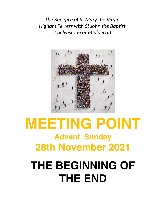*The Benefice of St Mary the Virgin, Higham Ferrers with St John the Baptist, Chelveston-cum-Caldecott*



# **MEETING POINT Advent Sunday 28th November 2021**

# **THE BEGINNING OF THE END**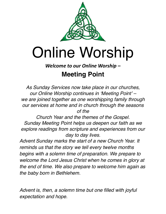

# Online Worship

## *Welcome to our Online Worship –*

# **Meeting Point**

*As Sunday Services now take place in our churches, our Online Worship continues in 'Meeting Point' – we are joined together as one worshipping family through our services at home and in church through the seasons of the* 

*Church Year and the themes of the Gospel. Sunday Meeting Point helps us deepen our faith as we explore readings from scripture and experiences from our day to day lives.* 

*Advent Sunday marks the start of a new Church Year. It reminds us that the story we tell every twelve months begins with a solemn time of preparation. We prepare to welcome the Lord Jesus Christ when he comes in glory at the end of time. We also prepare to welcome him again as the baby born in Bethlehem.*

*Advent is, then, a solemn time but one filled with joyful expectation and hope.*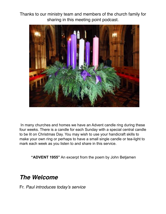Thanks to our ministry team and members of the church family for sharing in this meeting point podcast.



 In many churches and homes we have an Advent candle ring during these four weeks. There is a candle for each Sunday with a special central candle to be lit on Christmas Day. You may wish to use your handicraft skills to make your own ring or perhaps to have a small single candle or tea-light to mark each week as you listen to and share in this service.

**"ADVENT 1955"** An excerpt from the poem by John Betjamen

# *The Welcome*

Fr. *Paul introduces today's service*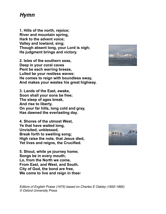#### *Hymn*

**1***.* **Hills of the north, rejoice; River and mountain spring, Hark to the advent voice; Valley and lowland, sing; Though absent long, your Lord is nigh; He judgment brings and victory.**

**2. Isles of the southern seas, Deep in your coral caves Pent be each warring breeze, Lulled be your restless waves: He comes to reign with boundless sway, And makes your wastes his great highway.**

**3. Lands of the East, awake, Soon shall your sons be free; The sleep of ages break, And rise to liberty. On your far hills, long cold and gray, Has dawned the everlasting day.**

**4. Shores of the utmost West, Ye that have waited long, Unvisited, unblessed, Break forth to swelling song; High raise the note, that Jesus died, Yet lives and reigns, the Crucified.**

**5. Shout, while ye journey home; Songs be in every mouth; Lo, from the North we come, From East, and West, and South. City of God, the bond are free, We come to live and reign in thee!**





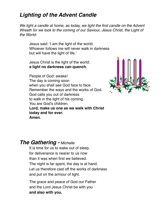## *Lighting of the Advent Candle*

We light a candle at home, as today, we light the first candle on the Advent *Wreath for we look to the coming of our Saviour, Jesus Christ, the Light of the World:*

Jesus said: 'I am the light of the world. Whoever follows me will never walk in darkness but will have the light of life.'

Jesus Christ is the light of the world: **a light no darkness can quench.**

People of God: awake! The day is coming soon when you shall see God face to face. Remember the ways and the works of God. God calls you out of darkness to walk in the light of his coming. You are God's children. **Lord, make us one as we walk with Christ today and for ever. Amen.**



#### *The Gathering - Michelle*

It is time for us to wake out of sleep, for deliverance is nearer to us now than it was when first we believed. The night is far spent, the day is at hand. Let us therefore cast off the works of darkness and put on the armour of light.

The grace and peace of God our Father and the Lord Jesus Christ be with you **and also with you.**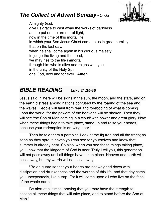# *The Collect of Advent Sunday - Linda*



Almighty God, give us grace to cast away the works of darkness and to put on the armour of light, now in the time of this mortal life, in which your Son Jesus Christ came to us in great humility; that on the last day, when he shall come again in his glorious majesty to judge the living and the dead, we may rise to the life immortal; through him who is alive and reigns with you, in the unity of the Holy Spirit, one God, now and for ever. **Amen.**

# *BIBLE READING* **Luke 21:25-36**

Jesus said; "There will be signs in the sun, the moon, and the stars, and on the earth distress among nations confused by the roaring of the sea and the waves. People will faint from fear and foreboding of what is coming upon the world, for the powers of the heavens will be shaken. Then they will see 'the Son of Man coming in a cloud' with power and great glory. Now when these things begin to take place, stand up and raise your heads, because your redemption is drawing near."

Then he told them a parable: "Look at the fig tree and all the trees; as soon as they sprout leaves you can see for yourselves and know that summer is already near. So also, when you see these things taking place, you know that the kingdom of God is near. Truly I tell you, this generation will not pass away until all things have taken place. Heaven and earth will pass away, but my words will not pass away.

"Be on guard so that your hearts are not weighed down with dissipation and drunkenness and the worries of this life, and that day catch you unexpectedly, like a trap. For it will come upon all who live on the face of the whole earth.

Be alert at all times, praying that you may have the strength to escape all these things that will take place, and to stand before the Son of Man."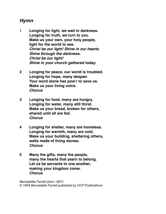#### *Hymn*

- 1 **Longing for light, we wait in darkness. Longing for truth, we turn to you. Make us your own, your holy people, light for the world to see.** *Christ be our light! Shine in our hearts. Shine through the darkness. Christ be our light! Shine in your church gathered today.*
- **2 Longing for peace, our world is troubled. Longing for hope, many despair. Your word alone has pow'r to save us. Make us your living voice.** *Chorus*
- **3 Longing for food, many are hungry. Longing for water, many still thirst. Make us your bread, broken for others, shared until all are fed.** *Chorus*
- **4 Longing for shelter, many are homeless. Longing for warmth, many are cold. Make us your building, sheltering others, walls made of living stones.** *Chorus*
- **5 Many the gifts, many the people, many the hearts that yearn to belong. Let us be servants to one another, making your kingdom come.** *Chorus*

*Bernadette Farrell (born 1957) © 1994 Bernadette Farrell published by OCP Publications*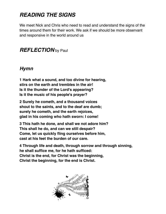# *READING THE SIGNS*

We meet Nick and Chris who need to read and understand the signs of the times around them for their work. We ask if we should be more observant and responsive in the world around us

#### *REFLECTION* by Paul

#### *Hymn*

**1 Hark what a sound, and too divine for hearing, stirs on the earth and trembles in the air! Is it the thunder of the Lord's appearing? Is it the music of his people's prayer?**

**2 Surely he cometh, and a thousand voices shout to the saints, and to the deaf are dumb; surely he cometh, and the earth rejoices, glad in his coming who hath sworn: I come!**

**3 This hath he done, and shall we not adore him? This shall he do, and can we still despair? Come, let us quickly fling ourselves before him, cast at his feet the burden of our care.**

**4 Through life and death, through sorrow and through sinning, he shall suffice me, for he hath sufficed: Christ is the end, for Christ was the beginning, Christ the beginning, for the end is Christ.**

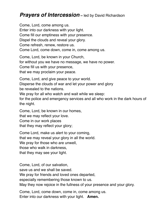#### *Prayers of Intercession* – led by David Richardson

Come, Lord, come among us. Enter into our darkness with your light. Come fill our emptiness with your presence. Dispel the clouds and reveal your glory. Come refresh, renew, restore us. Come Lord, come down, come in, come among us.

Come, Lord, be known in your Church, for without you we have no message, we have no power. Come fill us with your presence, that we may proclaim your peace.

Come, Lord, and give peace to your world. Disperse the clouds of war and let your power and glory be revealed to the nations. We pray for all who watch and wait while we sleep:

for the police and emergency services and all who work in the dark hours of the night.

Come, Lord, be known in our homes, that we may reflect your love. Come in our work places that they may reflect your glory;

Come Lord, make us alert to your coming, that we may reveal your glory in all the world. We pray for those who are unwell, those who walk in darkness, that they may see your light.

Come, Lord, of our salvation,

save us and we shall be saved.

We pray for friends and loved ones departed,

especially remembering those known to us.

May they now rejoice in the fullness of your presence and your glory.

Come, Lord, come down, come in, come among us. Enter into our darkness with your light. **Amen.**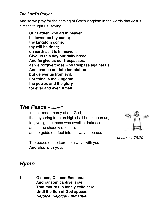#### *The Lord's Prayer*

And so we pray for the coming of God's kingdom in the words that Jesus himself taught us, saying:

**Our Father, who art in heaven, hallowed be thy name; thy kingdom come; thy will be done; on earth as it is in heaven. Give us this day our daily bread. And forgive us our trespasses, as we forgive those who trespass against us. And lead us not into temptation; but deliver us from evil. For thine is the kingdom, the power, and the glory for ever and ever. Amen.**

#### *The Peace - Michelle*

In the tender mercy of our God, the dayspring from on high shall break upon us, to give light to those who dwell in darkness and in the shadow of death, and to guide our feet into the way of peace.



*cf Luke 1.78,79*

The peace of the Lord be always with you; **And also with you.**

#### *Hymn*

**1 O come, O come Emmanuel, And ransom captive Israel, That mourns in lonely exile here, Until the Son of God appear.**  *Rejoice! Rejoice! Emmanuel*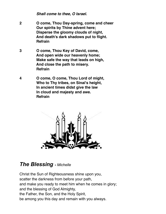*Shall come to thee, O Israel.* 

- **2 O come, Thou Day-spring, come and cheer Our spirits by Thine advent here; Disperse the gloomy clouds of night, And death's dark shadows put to flight. Refrain**
- **3 O come, Thou Key of David, come, And open wide our heavenly home; Make safe the way that leads on high, And close the path to misery. Refrain**
- **4 O come, O come, Thou Lord of might, Who to Thy tribes, on Sinai's height, In ancient times didst give the law In cloud and majesty and awe. Refrain**



#### *The Blessing - Michelle*

Christ the Sun of Righteousness shine upon you, scatter the darkness from before your path, and make you ready to meet him when he comes in glory; and the blessing of God Almighty, the Father, the Son, and the Holy Spirit, be among you this day and remain with you always.